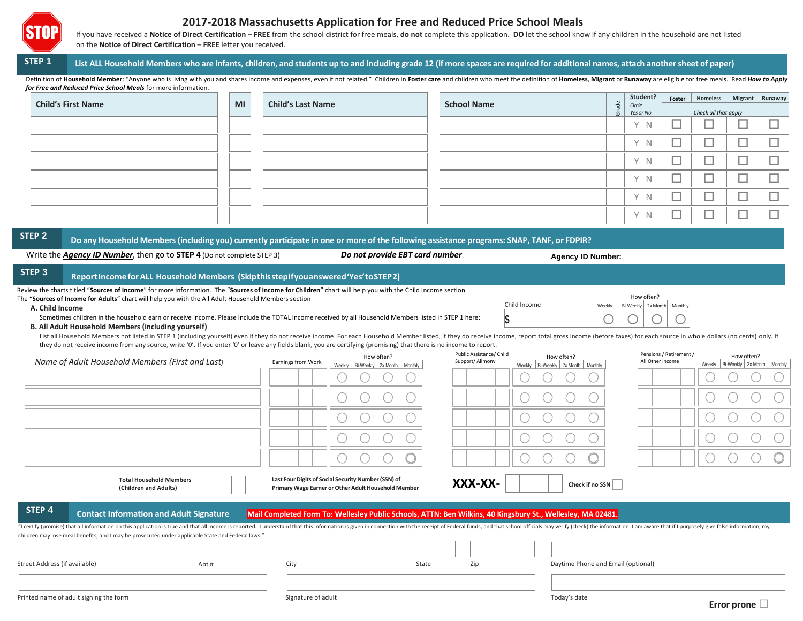

# **2017-2018 Massachusetts Application for Free and Reduced Price School Meals**

If you have received a Notice of Direct Certification - FREE from the school district for free meals, do not complete this application. DO let the school know if any children in the household are not listed on the **Notice of Direct Certification** – **FREE** letter you received.

## STEP 1 List ALL Household Members who are infants, children, and students up to and including grade 12 (if more spaces are required for additional names, attach another sheet of paper)

Definition of Household Member: "Anyone who is living with you and shares income and expenses, even if not related." Children in Foster care and children who meet the definition of Homeless, Migrant or Runaway are eligible *for Free and Reduced Price School Meals* for more information.

|                           | MI |                          |                    |       | Student?               | Foster               | Homeless   Migrant   Runaway |                               |  |
|---------------------------|----|--------------------------|--------------------|-------|------------------------|----------------------|------------------------------|-------------------------------|--|
| <b>Child's First Name</b> |    | <b>Child's Last Name</b> | <b>School Name</b> | Grade | Circle<br>Yes or No    | Check all that apply |                              |                               |  |
|                           |    |                          |                    |       | $\vee$<br>$\mathbb N$  |                      |                              | --<br>_                       |  |
|                           |    |                          |                    |       | $\vee$<br>$\mathbb N$  | _                    |                              | المستقبل                      |  |
|                           |    |                          |                    |       | $\vee$<br><sup>N</sup> | _                    | _                            | _                             |  |
|                           |    |                          |                    |       | $\vee$<br>N            | _                    | _                            | <b>Contract Contract</b><br>ᅳ |  |
|                           |    |                          |                    |       | V<br>- N               | _                    | _                            | --<br>_                       |  |
|                           |    |                          |                    |       | $\vee$<br><sup>N</sup> | _                    |                              | _<br>_                        |  |

STEP 2 Do any Household Members (including you) currently participate in one or more of the following assistance programs: SNAP, TANF, or FDPIR?

Write the *Agency ID Number*, then go to **STEP 4** (Do not complete STEP 3) *Do not provide EBT card number*.

**Agency ID Number: \_\_\_\_\_\_\_\_\_\_\_\_\_\_\_\_\_\_\_\_\_**

**\$**

How often? Bi-Weekly 2x Mon

Child Income

#### **STEP 3 ReportIncome forALL Household Members (Skipthisstepifyouanswered'Yes'toSTEP2)**

Review the charts titled "**Sources of Income**" for more information. The "**Sources of Income for Children**" chart will help you with the Child Income section.

The "**Sources of Income for Adults**" chart will help you with the All Adult Household Members section

## **A. Child Income**

Sometimes children in the household earn or receive income. Please include the TOTAL income received by all Household Members listed in STEP 1 here:

## **B. All Adult Household Members (including yourself)**

List all Household Members not listed in STEP 1 (including yourself) even if they do not receive income. For each Household Member listed, if they do receive income, report total gross income (before taxes) for each source they do not receive income from any source, write '0'. If you enter '0' or leave any fields blank, you are certifying (promising) that there is no income to report.

|                               |                                                                                                                                                                                                                                                                                                                                     |                    | How often?                                                                                                 | Public Assistance/ Child | How often?                                                                                                  | Pensions / Retirement / | How often?                              |  |  |
|-------------------------------|-------------------------------------------------------------------------------------------------------------------------------------------------------------------------------------------------------------------------------------------------------------------------------------------------------------------------------------|--------------------|------------------------------------------------------------------------------------------------------------|--------------------------|-------------------------------------------------------------------------------------------------------------|-------------------------|-----------------------------------------|--|--|
|                               | Name of Adult Household Members (First and Last)                                                                                                                                                                                                                                                                                    | Earnings from Work | Weekly<br>Bi-Weekly 2x Month Monthly                                                                       | Support/Alimony          | Weekly Bi-Weekly 2x Month Monthly                                                                           | All Other Income        | Weekly   Bi-Weekly   2x Month   Monthly |  |  |
|                               |                                                                                                                                                                                                                                                                                                                                     |                    |                                                                                                            |                          |                                                                                                             |                         |                                         |  |  |
|                               |                                                                                                                                                                                                                                                                                                                                     |                    |                                                                                                            |                          |                                                                                                             |                         |                                         |  |  |
|                               |                                                                                                                                                                                                                                                                                                                                     |                    |                                                                                                            |                          |                                                                                                             |                         |                                         |  |  |
|                               |                                                                                                                                                                                                                                                                                                                                     |                    |                                                                                                            |                          |                                                                                                             |                         |                                         |  |  |
|                               |                                                                                                                                                                                                                                                                                                                                     |                    |                                                                                                            |                          |                                                                                                             |                         |                                         |  |  |
|                               | <b>Total Household Members</b><br>(Children and Adults)                                                                                                                                                                                                                                                                             |                    | Last Four Digits of Social Security Number (SSN) of<br>Primary Wage Earner or Other Adult Household Member | XXX-XX-                  | Check if no SSN                                                                                             |                         |                                         |  |  |
| STEP 4                        | <b>Contact Information and Adult Signature</b>                                                                                                                                                                                                                                                                                      |                    |                                                                                                            |                          | Mail Completed Form To: Wellesley Public Schools, ATTN: Ben Wilkins, 40 Kingsbury St., Wellesley, MA 02481. |                         |                                         |  |  |
|                               | "I certify (promise) that all information on this application is true and that all income is reported. I understand that this information is given in connection with the receipt of Federal funds, and that school officials<br>children may lose meal benefits, and I may be prosecuted under applicable State and Federal laws." |                    |                                                                                                            |                          |                                                                                                             |                         |                                         |  |  |
|                               |                                                                                                                                                                                                                                                                                                                                     |                    |                                                                                                            |                          |                                                                                                             |                         |                                         |  |  |
| Street Address (if available) | Apt#                                                                                                                                                                                                                                                                                                                                | City               | State                                                                                                      | Zip                      | Daytime Phone and Email (optional)                                                                          |                         |                                         |  |  |
|                               |                                                                                                                                                                                                                                                                                                                                     |                    |                                                                                                            |                          |                                                                                                             |                         |                                         |  |  |
|                               | Printed name of adult signing the form                                                                                                                                                                                                                                                                                              | Signature of adult |                                                                                                            |                          | Today's date                                                                                                |                         |                                         |  |  |